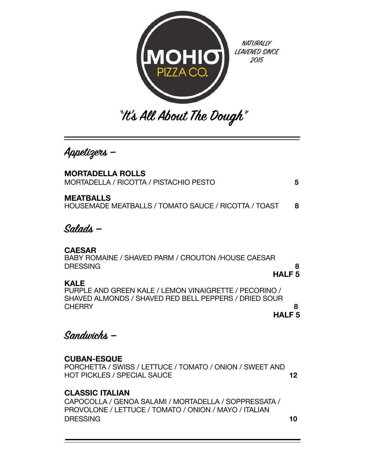

**Appetizes —**

| <b>MORTADELLA ROLLS</b><br>MORTADELLA / RICOTTA / PISTACHIO PESTO                                                                        | 5                 |
|------------------------------------------------------------------------------------------------------------------------------------------|-------------------|
| <b>MEATBALLS</b><br>HOUSEMADE MEATBALLS / TOMATO SAUCE / RICOTTA / TOAST                                                                 | 8                 |
| Solods –                                                                                                                                 |                   |
| <b>CAESAR</b><br>BABY ROMAINE / SHAVED PARM / CROUTON /HOUSE CAESAR<br>DRESSING                                                          | 8<br><b>HALF5</b> |
| KALE<br>PURPLE AND GREEN KALE / LEMON VINAIGRETTE / PECORINO /<br>SHAVED ALMONDS / SHAVED RED BELL PEPPERS / DRIED SOUR<br><b>CHERRY</b> | ឧ                 |
|                                                                                                                                          | HALF 5            |

**Sandwichs —** 

## **CUBAN-ESQUE**

PORCHETTA / SWISS / LETTUCE / TOMATO / ONION / SWEET AND HOT PICKLES / SPECIAL SAUCE **12** 

## **CLASSIC ITALIAN**

CAPOCOLLA / GENOA SALAMI / MORTADELLA / SOPPRESSATA / PROVOLONE / LETTUCE / TOMATO / ONION / MAYO / ITALIAN DRESSING **10**